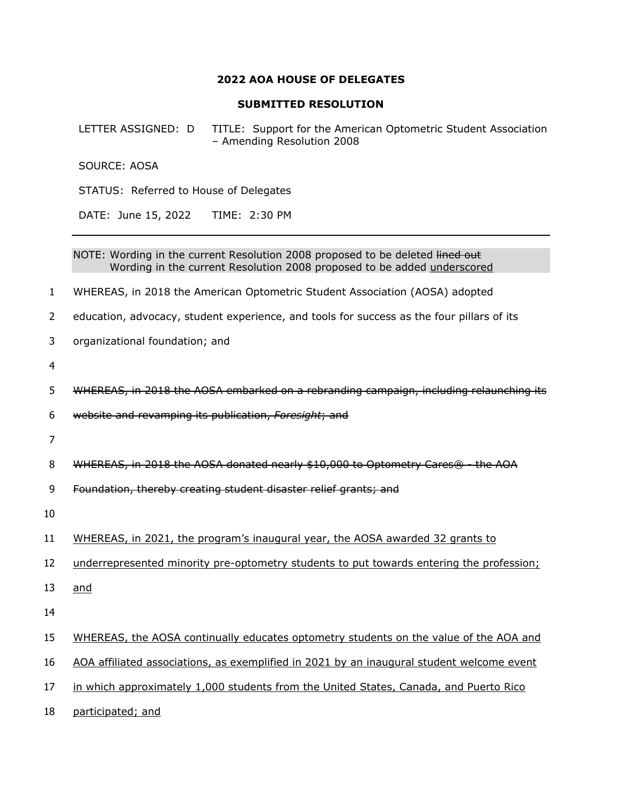## **2022 AOA HOUSE OF DELEGATES**

## **SUBMITTED RESOLUTION**

LETTER ASSIGNED: D TITLE: Support for the American Optometric Student Association – Amending Resolution 2008

SOURCE: AOSA

STATUS: Referred to House of Delegates

DATE: June 15, 2022 TIME: 2:30 PM

NOTE: Wording in the current Resolution 2008 proposed to be deleted lined out Wording in the current Resolution 2008 proposed to be added underscored

1 WHEREAS, in 2018 the American Optometric Student Association (AOSA) adopted

2 education, advocacy, student experience, and tools for success as the four pillars of its

3 organizational foundation; and

4

5 WHEREAS, in 2018 the AOSA embarked on a rebranding campaign, including relaunching its

6 website and revamping its publication, *Foresight*; and

7

8 WHEREAS, in 2018 the AOSA donated nearly \$10,000 to Optometry Cares<sup>®</sup> - the AOA

9 Foundation, thereby creating student disaster relief grants; and

10

11 WHEREAS, in 2021, the program's inaugural year, the AOSA awarded 32 grants to

12 underrepresented minority pre-optometry students to put towards entering the profession;

13 and

14

15 WHEREAS, the AOSA continually educates optometry students on the value of the AOA and

16 AOA affiliated associations, as exemplified in 2021 by an inaugural student welcome event

17 in which approximately 1,000 students from the United States, Canada, and Puerto Rico

18 participated; and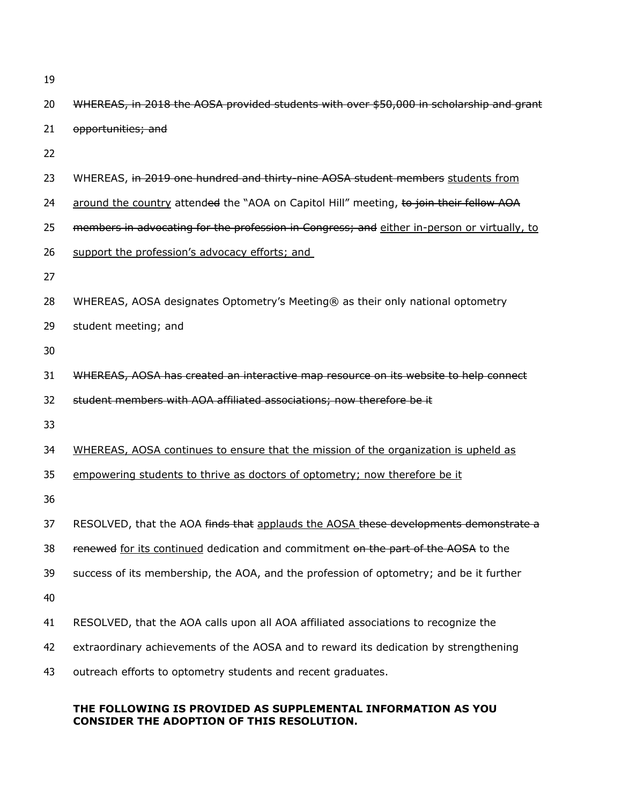|  | ٠            |
|--|--------------|
|  | I<br>۰.<br>v |

| 21 | opportunities; and                                                                          |
|----|---------------------------------------------------------------------------------------------|
| 22 |                                                                                             |
| 23 | WHEREAS, in 2019 one hundred and thirty-nine AOSA student members students from             |
| 24 | around the country attended the "AOA on Capitol Hill" meeting, to join their fellow AOA     |
| 25 | members in advocating for the profession in Congress; and either in-person or virtually, to |
| 26 | support the profession's advocacy efforts; and                                              |
| 27 |                                                                                             |
| 28 | WHEREAS, AOSA designates Optometry's Meeting® as their only national optometry              |
| 29 | student meeting; and                                                                        |
| 30 |                                                                                             |
| 31 | WHEREAS, AOSA has created an interactive map resource on its website to help connect        |
| 32 | student members with AOA affiliated associations; now therefore be it                       |
| 33 |                                                                                             |
| 34 | WHEREAS, AOSA continues to ensure that the mission of the organization is upheld as         |
| 35 | empowering students to thrive as doctors of optometry; now therefore be it                  |
| 36 |                                                                                             |
| 37 | RESOLVED, that the AOA finds that applauds the AOSA these developments demonstrate a        |
| 38 | renewed for its continued dedication and commitment on the part of the AOSA to the          |
| 39 | success of its membership, the AOA, and the profession of optometry; and be it further      |
| 40 |                                                                                             |
| 41 | RESOLVED, that the AOA calls upon all AOA affiliated associations to recognize the          |
| 42 | extraordinary achievements of the AOSA and to reward its dedication by strengthening        |
| 43 | outreach efforts to optometry students and recent graduates.                                |
|    | THE FOLLOWING IS PROVIDED AS SUPPLEMENTAL INFORMATION AS YOU                                |

20 WHEREAS, in 2018 the AOSA provided students with over \$50,000 in scholarship and grant

## **CONSIDER THE ADOPTION OF THIS RESOLUTION.**